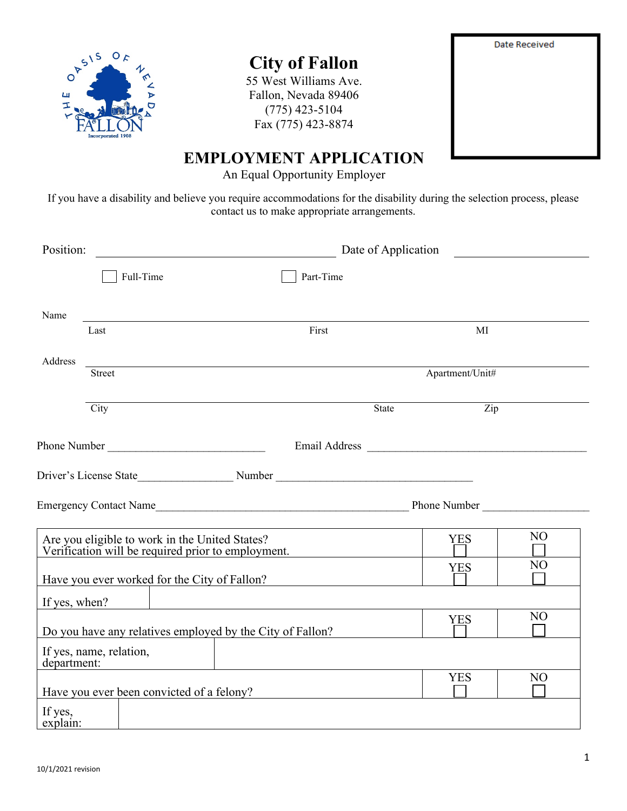

# **City of Fallon**

55 West Williams Ave. Fallon, Nevada 89406 (775) 423-5104 Fax (775) 423-8874



## **EMPLOYMENT APPLICATION**

An Equal Opportunity Employer

If you have a disability and believe you require accommodations for the disability during the selection process, please contact us to make appropriate arrangements.

| Position:           |                         | Date of Application<br><u>and the state of the state of the state of the state of the state of the state of the state of the state of the state of the state of the state of the state of the state of the state of the state of the state of the state</u><br><u> 1980 - Jan Samuel Barbara, politik eta politik eta politik eta politik eta politik eta politik eta politik e</u> |                                                           |                                                                                                      |       |                 |                                     |
|---------------------|-------------------------|-------------------------------------------------------------------------------------------------------------------------------------------------------------------------------------------------------------------------------------------------------------------------------------------------------------------------------------------------------------------------------------|-----------------------------------------------------------|------------------------------------------------------------------------------------------------------|-------|-----------------|-------------------------------------|
|                     | Full-Time               |                                                                                                                                                                                                                                                                                                                                                                                     |                                                           | Part-Time                                                                                            |       |                 |                                     |
| Name                |                         |                                                                                                                                                                                                                                                                                                                                                                                     |                                                           |                                                                                                      |       |                 |                                     |
|                     | Last                    |                                                                                                                                                                                                                                                                                                                                                                                     |                                                           | First                                                                                                |       | MI              |                                     |
| Address             |                         |                                                                                                                                                                                                                                                                                                                                                                                     |                                                           |                                                                                                      |       |                 |                                     |
|                     | Street                  |                                                                                                                                                                                                                                                                                                                                                                                     |                                                           |                                                                                                      |       | Apartment/Unit# |                                     |
|                     | City                    |                                                                                                                                                                                                                                                                                                                                                                                     |                                                           |                                                                                                      | State | Zip             |                                     |
|                     |                         |                                                                                                                                                                                                                                                                                                                                                                                     |                                                           |                                                                                                      |       |                 |                                     |
|                     |                         |                                                                                                                                                                                                                                                                                                                                                                                     |                                                           |                                                                                                      |       |                 |                                     |
|                     |                         |                                                                                                                                                                                                                                                                                                                                                                                     |                                                           |                                                                                                      |       |                 | Emergency Contact Name Phone Number |
|                     |                         |                                                                                                                                                                                                                                                                                                                                                                                     |                                                           | Are you eligible to work in the United States?<br>Verification will be required prior to employment. |       | <b>YES</b>      | N <sub>O</sub>                      |
|                     |                         |                                                                                                                                                                                                                                                                                                                                                                                     |                                                           | Have you ever worked for the City of Fallon?                                                         |       | <b>YES</b>      | N <sub>O</sub>                      |
| If yes, when?       |                         |                                                                                                                                                                                                                                                                                                                                                                                     |                                                           | <u> 1980 - Johann Stein, mars an deus Amerikaansk kommunister (</u>                                  |       |                 |                                     |
|                     |                         |                                                                                                                                                                                                                                                                                                                                                                                     | Do you have any relatives employed by the City of Fallon? |                                                                                                      |       | <b>YES</b>      | N <sub>O</sub>                      |
| department:         | If yes, name, relation, |                                                                                                                                                                                                                                                                                                                                                                                     |                                                           |                                                                                                      |       |                 |                                     |
|                     |                         |                                                                                                                                                                                                                                                                                                                                                                                     |                                                           | Have you ever been convicted of a felony?                                                            |       | <b>YES</b>      | N <sub>O</sub>                      |
| If yes,<br>explain: |                         |                                                                                                                                                                                                                                                                                                                                                                                     |                                                           |                                                                                                      |       |                 |                                     |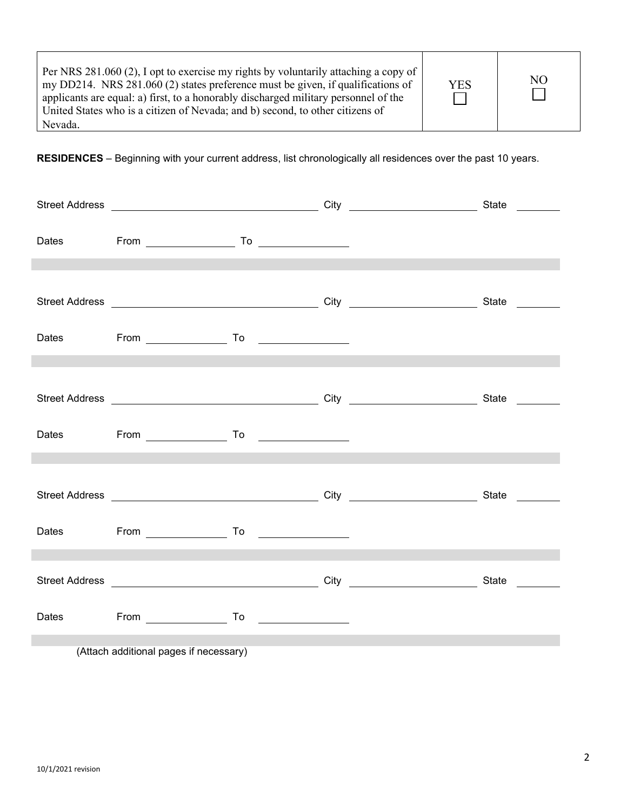**RESIDENCES** – Beginning with your current address, list chronologically all residences over the past 10 years.

| Dates From To To Prometers From To Provides Allen Contracts and To Providence Allen Contracts Allen Contracts A |  |                                                                                                                       |  |
|-----------------------------------------------------------------------------------------------------------------|--|-----------------------------------------------------------------------------------------------------------------------|--|
|                                                                                                                 |  |                                                                                                                       |  |
|                                                                                                                 |  |                                                                                                                       |  |
| Dates From To Communication                                                                                     |  |                                                                                                                       |  |
|                                                                                                                 |  |                                                                                                                       |  |
|                                                                                                                 |  |                                                                                                                       |  |
| Dates From To Communication Communication                                                                       |  |                                                                                                                       |  |
|                                                                                                                 |  | <u> 1989 - Jan Samuel Barbara, marka a shekara ta 1989 - An tsara tsa 1989 - An tsara tsa 1989 - An tsa 1989 - An</u> |  |
|                                                                                                                 |  |                                                                                                                       |  |
| Dates From To Communication                                                                                     |  |                                                                                                                       |  |
|                                                                                                                 |  | the contract of the contract of the contract of the contract of the contract of the contract of the contract of       |  |
|                                                                                                                 |  |                                                                                                                       |  |
| Dates From To Communication                                                                                     |  |                                                                                                                       |  |
|                                                                                                                 |  |                                                                                                                       |  |

(Attach additional pages if necessary)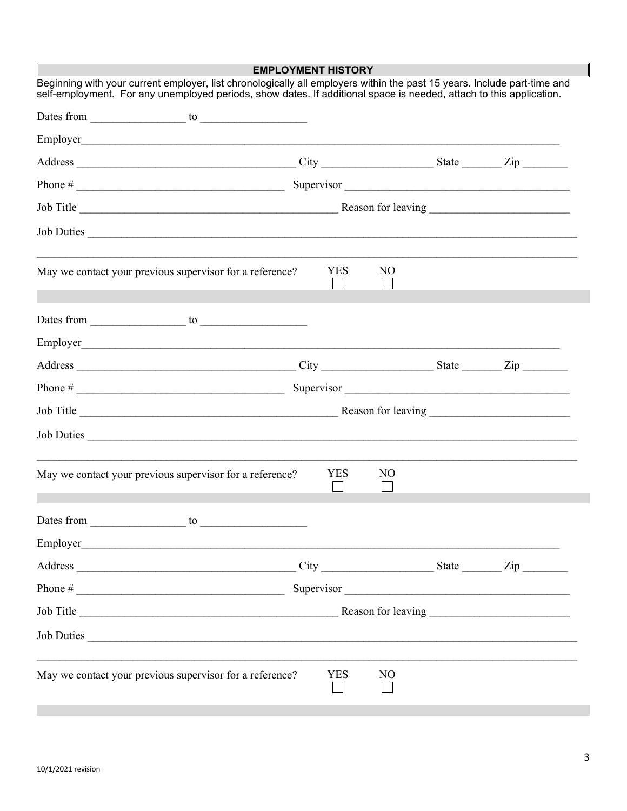|                                                                                                                                                                                                                                                 | <b>EMPLOYMENT HISTORY</b> |                |  |            |
|-------------------------------------------------------------------------------------------------------------------------------------------------------------------------------------------------------------------------------------------------|---------------------------|----------------|--|------------|
| Beginning with your current employer, list chronologically all employers within the past 15 years. Include part-time and<br>self-employment. For any unemployed periods, show dates. If additional space is needed, attach to this application. |                           |                |  |            |
|                                                                                                                                                                                                                                                 |                           |                |  |            |
|                                                                                                                                                                                                                                                 |                           |                |  |            |
|                                                                                                                                                                                                                                                 |                           |                |  |            |
|                                                                                                                                                                                                                                                 |                           |                |  | Supervisor |
|                                                                                                                                                                                                                                                 |                           |                |  |            |
| Job Duties                                                                                                                                                                                                                                      |                           |                |  |            |
| May we contact your previous supervisor for a reference?                                                                                                                                                                                        | <b>YES</b>                | NO.            |  |            |
|                                                                                                                                                                                                                                                 |                           |                |  |            |
|                                                                                                                                                                                                                                                 |                           |                |  |            |
|                                                                                                                                                                                                                                                 |                           |                |  |            |
|                                                                                                                                                                                                                                                 |                           |                |  | Supervisor |
|                                                                                                                                                                                                                                                 |                           |                |  |            |
| Job Duties                                                                                                                                                                                                                                      |                           |                |  |            |
| May we contact your previous supervisor for a reference?                                                                                                                                                                                        | <b>YES</b>                | N <sub>O</sub> |  |            |
| Dates from<br>to                                                                                                                                                                                                                                |                           |                |  |            |
| Employer<br><u> 1989 - Jan Barat, martin da basar da basar da basa da basa da basa da basa da basa da basa da basa da basa d</u>                                                                                                                |                           |                |  |            |
|                                                                                                                                                                                                                                                 |                           |                |  |            |
|                                                                                                                                                                                                                                                 |                           |                |  | Supervisor |
|                                                                                                                                                                                                                                                 |                           |                |  |            |
| Job Duties                                                                                                                                                                                                                                      |                           |                |  |            |
| May we contact your previous supervisor for a reference?                                                                                                                                                                                        | <b>YES</b>                | N <sub>O</sub> |  |            |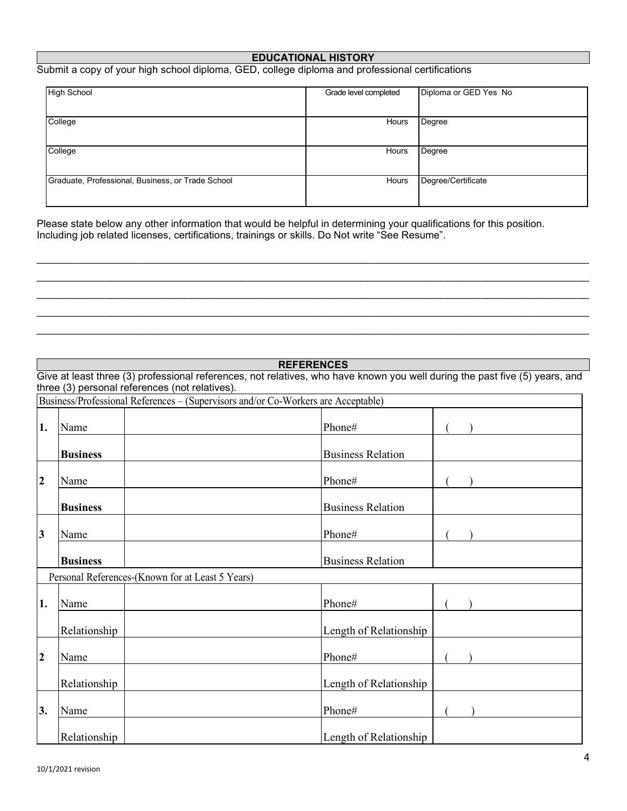### **EDUCATIONAL HISTORY**

### Submit a copy of your high school diploma, GED, college diploma and professional certifications

| <b>High School</b>                                | Grade level completed | Diploma or GED Yes No |
|---------------------------------------------------|-----------------------|-----------------------|
| College                                           | Hours                 | Degree                |
| College                                           | Hours                 | Degree                |
| Graduate, Professional, Business, or Trade School | Hours                 | Degree/Certificate    |

 $\mathcal{L}_\mathcal{L} = \{ \mathcal{L}_\mathcal{L} = \{ \mathcal{L}_\mathcal{L} = \{ \mathcal{L}_\mathcal{L} = \{ \mathcal{L}_\mathcal{L} = \{ \mathcal{L}_\mathcal{L} = \{ \mathcal{L}_\mathcal{L} = \{ \mathcal{L}_\mathcal{L} = \{ \mathcal{L}_\mathcal{L} = \{ \mathcal{L}_\mathcal{L} = \{ \mathcal{L}_\mathcal{L} = \{ \mathcal{L}_\mathcal{L} = \{ \mathcal{L}_\mathcal{L} = \{ \mathcal{L}_\mathcal{L} = \{ \mathcal{L}_\mathcal{$ \_\_\_\_\_\_\_\_\_\_\_\_\_\_\_\_\_\_\_\_\_\_\_\_\_\_\_\_\_\_\_\_\_\_\_\_\_\_\_\_\_\_\_\_\_\_\_\_\_\_\_\_\_\_\_\_\_\_\_\_\_\_\_\_\_\_\_\_\_\_\_\_\_\_\_\_\_\_\_\_\_\_\_\_\_\_\_\_\_\_\_\_\_\_\_\_\_ \_\_\_\_\_\_\_\_\_\_\_\_\_\_\_\_\_\_\_\_\_\_\_\_\_\_\_\_\_\_\_\_\_\_\_\_\_\_\_\_\_\_\_\_\_\_\_\_\_\_\_\_\_\_\_\_\_\_\_\_\_\_\_\_\_\_\_\_\_\_\_\_\_\_\_\_\_\_\_\_\_\_\_\_\_\_\_\_\_\_\_\_\_\_\_\_\_ \_\_\_\_\_\_\_\_\_\_\_\_\_\_\_\_\_\_\_\_\_\_\_\_\_\_\_\_\_\_\_\_\_\_\_\_\_\_\_\_\_\_\_\_\_\_\_\_\_\_\_\_\_\_\_\_\_\_\_\_\_\_\_\_\_\_\_\_\_\_\_\_\_\_\_\_\_\_\_\_\_\_\_\_\_\_\_\_\_\_\_\_\_\_\_\_\_  $\mathcal{L}_\mathcal{L} = \{ \mathcal{L}_\mathcal{L} = \{ \mathcal{L}_\mathcal{L} = \{ \mathcal{L}_\mathcal{L} = \{ \mathcal{L}_\mathcal{L} = \{ \mathcal{L}_\mathcal{L} = \{ \mathcal{L}_\mathcal{L} = \{ \mathcal{L}_\mathcal{L} = \{ \mathcal{L}_\mathcal{L} = \{ \mathcal{L}_\mathcal{L} = \{ \mathcal{L}_\mathcal{L} = \{ \mathcal{L}_\mathcal{L} = \{ \mathcal{L}_\mathcal{L} = \{ \mathcal{L}_\mathcal{L} = \{ \mathcal{L}_\mathcal{$ 

Please state below any other information that would be helpful in determining your qualifications for this position. Including job related licenses, certifications, trainings or skills. Do Not write "See Resume".

|                         |                 | <b>REFERENCES</b>                                                                                                           |
|-------------------------|-----------------|-----------------------------------------------------------------------------------------------------------------------------|
|                         |                 | Give at least three (3) professional references, not relatives, who have known you well during the past five (5) years, and |
|                         |                 | three (3) personal references (not relatives).                                                                              |
|                         |                 | Business/Professional References – (Supervisors and/or Co-Workers are Acceptable)                                           |
| 1.                      | Name            | Phone#                                                                                                                      |
|                         | <b>Business</b> | <b>Business Relation</b>                                                                                                    |
| $\overline{2}$          | Name            | Phone#                                                                                                                      |
|                         | <b>Business</b> | <b>Business Relation</b>                                                                                                    |
| $\overline{\mathbf{3}}$ | Name            | Phone#                                                                                                                      |
|                         | <b>Business</b> | <b>Business Relation</b>                                                                                                    |
|                         |                 | Personal References-(Known for at Least 5 Years)                                                                            |
| 1.                      | Name            | Phone#                                                                                                                      |
|                         | Relationship    | Length of Relationship                                                                                                      |
| $\overline{2}$          | Name            | Phone#                                                                                                                      |
|                         | Relationship    | Length of Relationship                                                                                                      |
| 3.                      | Name            | Phone#                                                                                                                      |
|                         | Relationship    | Length of Relationship                                                                                                      |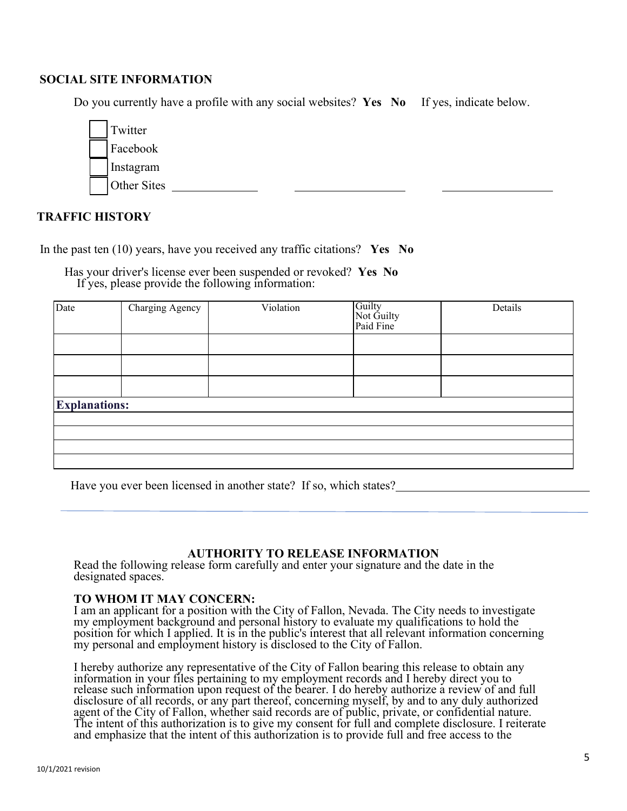### **SOCIAL SITE INFORMATION**

Do you currently have a profile with any social websites? **Yes No** If yes, indicate below.



### **TRAFFIC HISTORY**

In the past ten (10) years, have you received any traffic citations? **Yes No**

Has your driver's license ever been suspended or revoked? **Yes No** If yes, please provide the following information:

| Date                 | Charging Agency | Violation | Guilty<br>Not Guilty<br>Paid Fine | Details |
|----------------------|-----------------|-----------|-----------------------------------|---------|
|                      |                 |           |                                   |         |
|                      |                 |           |                                   |         |
|                      |                 |           |                                   |         |
| <b>Explanations:</b> |                 |           |                                   |         |
|                      |                 |           |                                   |         |
|                      |                 |           |                                   |         |
|                      |                 |           |                                   |         |
|                      |                 |           |                                   |         |

Have you ever been licensed in another state? If so, which states?

### **AUTHORITY TO RELEASE INFORMATION**

Read the following release form carefully and enter your signature and the date in the designated spaces.

### **TO WHOM IT MAY CONCERN:**

I am an applicant for a position with the City of Fallon, Nevada. The City needs to investigate my employment background and personal history to evaluate my qualifications to hold the position for which I applied. It is in the public's interest that all relevant information concerning my personal and employment history is disclosed to the City of Fallon.

I hereby authorize any representative of the City of Fallon bearing this release to obtain any information in your files pertaining to my employment records and I hereby direct you to release such information upon request of the bearer. I do hereby authorize a review of and full disclosure of all records, or any part thereof, concerning myself, by and to any duly authorized agent of the City of Fallon, whether said records are of public, private, or confidential nature. The intent of this authorization is to give my consent for full and complete disclosure. I reiterate and emphasize that the intent of this authorization is to provide full and free access to the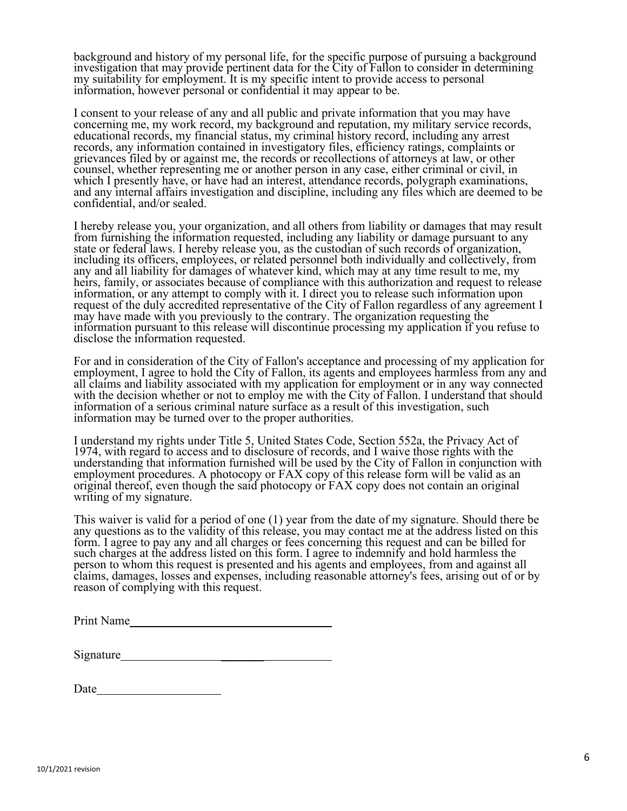background and history of my personal life, for the specific purpose of pursuing a background investigation that may provide pertinent data for the City of Fallon to consider in determining my suitability for employment. It is my specific intent to provide access to personal information, however personal or confidential it may appear to be.

I consent to your release of any and all public and private information that you may have concerning me, my work record, my background and reputation, my military service records, educational records, my financial status, my criminal history record, including any arrest records, any information contained in investigatory files, efficiency ratings, complaints or grievances filed by or against me, the records or recollections of attorneys at law, or other counsel, whether representing me or another person in any case, either criminal or civil, in which I presently have, or have had an interest, attendance records, polygraph examinations, and any internal affairs investigation and discipline, including any files which are deemed to be confidential, and/or sealed.

I hereby release you, your organization, and all others from liability or damages that may result from furnishing the information requested, including any liability or damage pursuant to any state or federal laws. I hereby release you, as the custodian of such records of organization, including its officers, employees, or related personnel both individually and collectively, from any and all liability for damages of whatever kind, which may at any time result to me, my heirs, family, or associates because of compliance with this authorization and request to release information, or any attempt to comply with it. I direct you to release such information upon request of the duly accredited representative of the City of Fallon regardless of any agreement I may have made with you previously to the contrary. The organization requesting the information pursuant to this release will discontinue processing my application if you refuse to disclose the information requested.

For and in consideration of the City of Fallon's acceptance and processing of my application for employment, I agree to hold the City of Fallon, its agents and employees harmless from any and all claims and liability associated with my application for employment or in any way connected with the decision whether or not to employ me with the City of Fallon. I understand that should information of a serious criminal nature surface as a result of this investigation, such information may be turned over to the proper authorities.

I understand my rights under Title 5, United States Code, Section 552a, the Privacy Act of 1974, with regard to access and to disclosure of records, and I waive those rights with the understanding that information furnished will be used by the City of Fallon in conjunction with employment procedures. A photocopy or FAX copy of this release form will be valid as an original thereof, even though the said photocopy or FAX copy does not contain an original writing of my signature.

This waiver is valid for a period of one (1) year from the date of my signature. Should there be any questions as to the validity of this release, you may contact me at the address listed on this form. I agree to pay any and all charges or fees concerning this request and can be billed for such charges at the address listed on this form. I agree to indemnify and hold harmless the person to whom this request is presented and his agents and employees, from and against all claims, damages, losses and expenses, including reasonable attorney's fees, arising out of or by reason of complying with this request.

| Signature |  |
|-----------|--|
|           |  |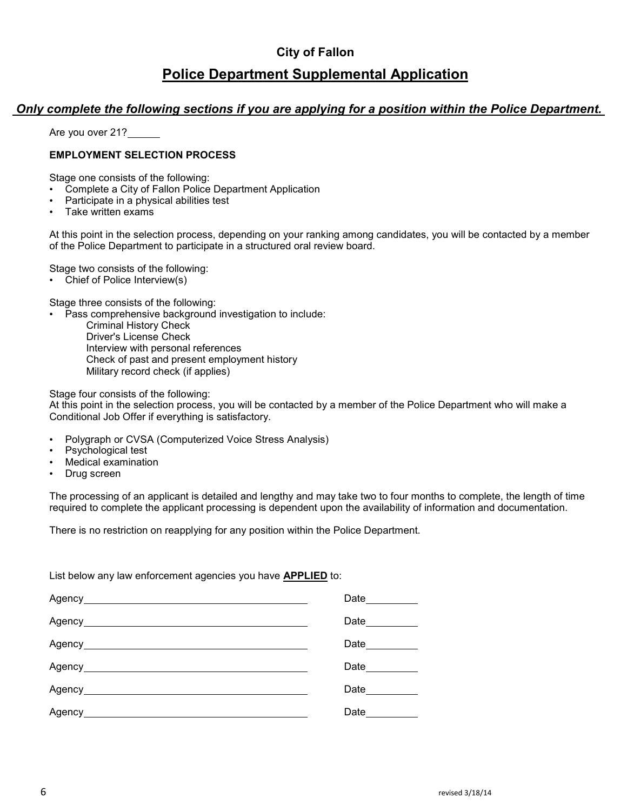## **City of Fallon Police Department Supplemental Application**

## *Only complete the following sections if you are applying for a position within the Police Department.*

Are you over 21?

### **EMPLOYMENT SELECTION PROCESS**

Stage one consists of the following:

- Complete a City of Fallon Police Department Application
- Participate in a physical abilities test
- Take written exams

At this point in the selection process, depending on your ranking among candidates, you will be contacted by a member of the Police Department to participate in a structured oral review board.

Stage two consists of the following:

• Chief of Police Interview(s)

Stage three consists of the following:

• Pass comprehensive background investigation to include:

Criminal History Check Driver's License Check Interview with personal references Check of past and present employment history Military record check (if applies)

Stage four consists of the following:

At this point in the selection process, you will be contacted by a member of the Police Department who will make a Conditional Job Offer if everything is satisfactory.

- Polygraph or CVSA (Computerized Voice Stress Analysis)
- Psychological test
- Medical examination
- Drug screen

The processing of an applicant is detailed and lengthy and may take two to four months to complete, the length of time required to complete the applicant processing is dependent upon the availability of information and documentation.

There is no restriction on reapplying for any position within the Police Department.

List below any law enforcement agencies you have **APPLIED** to:

|                                        | Date_________ |
|----------------------------------------|---------------|
|                                        | Date________  |
|                                        | Date_______   |
|                                        | Date_______   |
| Agency________________________________ | Date          |
|                                        | Date ______   |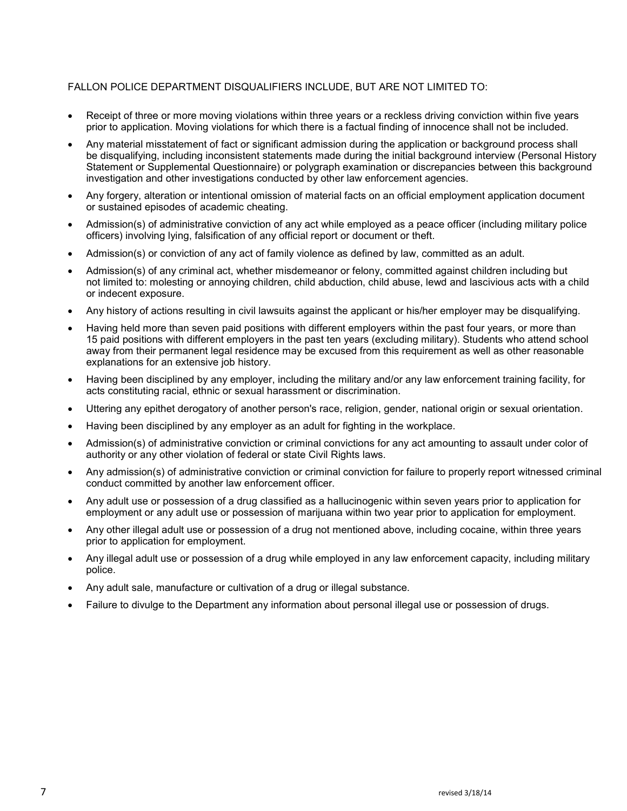### FALLON POLICE DEPARTMENT DISQUALIFIERS INCLUDE, BUT ARE NOT LIMITED TO:

- Receipt of three or more moving violations within three years or a reckless driving conviction within five years prior to application. Moving violations for which there is a factual finding of innocence shall not be included.
- Any material misstatement of fact or significant admission during the application or background process shall be disqualifying, including inconsistent statements made during the initial background interview (Personal History Statement or Supplemental Questionnaire) or polygraph examination or discrepancies between this background investigation and other investigations conducted by other law enforcement agencies.
- Any forgery, alteration or intentional omission of material facts on an official employment application document or sustained episodes of academic cheating.
- Admission(s) of administrative conviction of any act while employed as a peace officer (including military police officers) involving lying, falsification of any official report or document or theft.
- Admission(s) or conviction of any act of family violence as defined by law, committed as an adult.
- Admission(s) of any criminal act, whether misdemeanor or felony, committed against children including but not limited to: molesting or annoying children, child abduction, child abuse, lewd and lascivious acts with a child or indecent exposure.
- Any history of actions resulting in civil lawsuits against the applicant or his/her employer may be disqualifying.
- Having held more than seven paid positions with different employers within the past four years, or more than 15 paid positions with different employers in the past ten years (excluding military). Students who attend school away from their permanent legal residence may be excused from this requirement as well as other reasonable explanations for an extensive job history.
- Having been disciplined by any employer, including the military and/or any law enforcement training facility, for acts constituting racial, ethnic or sexual harassment or discrimination.
- Uttering any epithet derogatory of another person's race, religion, gender, national origin or sexual orientation.
- Having been disciplined by any employer as an adult for fighting in the workplace.
- Admission(s) of administrative conviction or criminal convictions for any act amounting to assault under color of authority or any other violation of federal or state Civil Rights laws.
- Any admission(s) of administrative conviction or criminal conviction for failure to properly report witnessed criminal conduct committed by another law enforcement officer.
- Any adult use or possession of a drug classified as a hallucinogenic within seven years prior to application for employment or any adult use or possession of marijuana within two year prior to application for employment.
- Any other illegal adult use or possession of a drug not mentioned above, including cocaine, within three years prior to application for employment.
- Any illegal adult use or possession of a drug while employed in any law enforcement capacity, including military police.
- Any adult sale, manufacture or cultivation of a drug or illegal substance.
- Failure to divulge to the Department any information about personal illegal use or possession of drugs.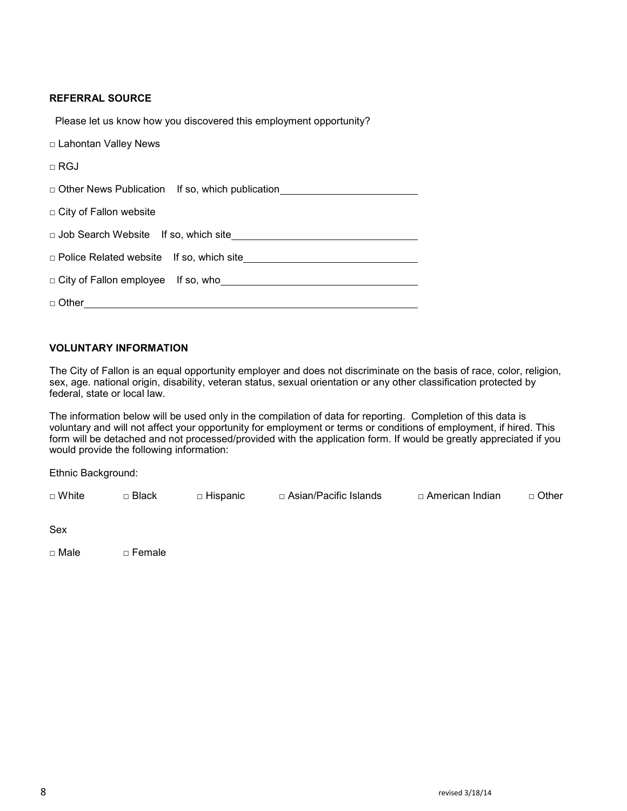### **REFERRAL SOURCE**

Please let us know how you discovered this employment opportunity?

| □ Lahontan Valley News                            |
|---------------------------------------------------|
| $\Box$ RGJ                                        |
| □ Other News Publication If so, which publication |
| □ City of Fallon website                          |
|                                                   |
|                                                   |
|                                                   |
| $\Box$ Other $\Box$                               |
|                                                   |

### **VOLUNTARY INFORMATION**

The City of Fallon is an equal opportunity employer and does not discriminate on the basis of race, color, religion, sex, age. national origin, disability, veteran status, sexual orientation or any other classification protected by federal, state or local law.

The information below will be used only in the compilation of data for reporting. Completion of this data is voluntary and will not affect your opportunity for employment or terms or conditions of employment, if hired. This form will be detached and not processed/provided with the application form. If would be greatly appreciated if you would provide the following information:

Ethnic Background:

| ¬ White | Black | ⊓ Hispanic. | ⊓ Asian/Pacific Islands | □ American Indian_ | □ Other |
|---------|-------|-------------|-------------------------|--------------------|---------|
|---------|-------|-------------|-------------------------|--------------------|---------|

□ Male □ Female